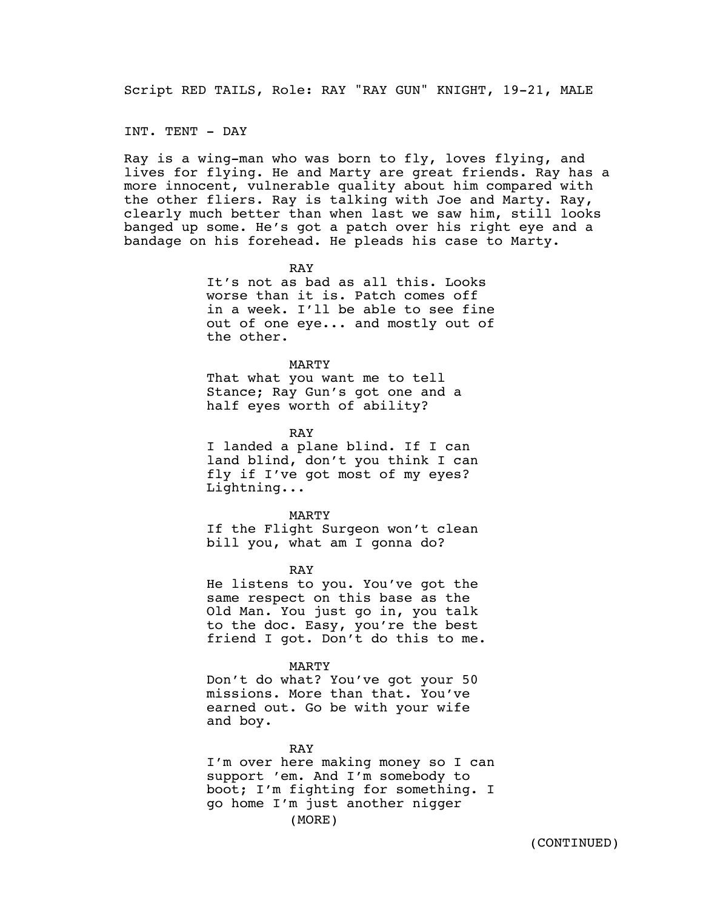Script RED TAILS, Role: RAY "RAY GUN" KNIGHT, 19-21, MALE

INT. TENT - DAY

Ray is a wing-man who was born to fly, loves flying, and lives for flying. He and Marty are great friends. Ray has a more innocent, vulnerable quality about him compared with the other fliers. Ray is talking with Joe and Marty. Ray, clearly much better than when last we saw him, still looks banged up some. He's got a patch over his right eye and a bandage on his forehead. He pleads his case to Marty.

> RAY It's not as bad as all this. Looks worse than it is. Patch comes off in a week. I'll be able to see fine out of one eye... and mostly out of the other.

## MARTY That what you want me to tell Stance; Ray Gun's got one and a half eyes worth of ability?

RAY

I landed a plane blind. If I can land blind, don't you think I can fly if I've got most of my eyes? Lightning...

MARTY If the Flight Surgeon won't clean bill you, what am I gonna do?

RAY

He listens to you. You've got the same respect on this base as the Old Man. You just go in, you talk to the doc. Easy, you're the best friend I got. Don't do this to me.

## MARTY

Don't do what? You've got your 50 missions. More than that. You've earned out. Go be with your wife and boy.

RAY

I'm over here making money so I can support 'em. And I'm somebody to boot; I'm fighting for something. I go home I'm just another nigger (MORE)

(CONTINUED)